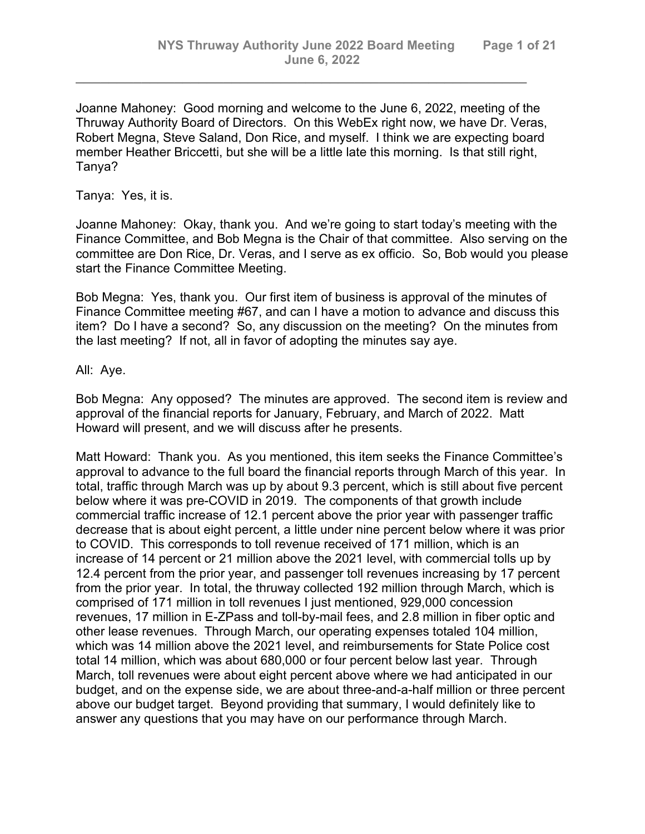Joanne Mahoney: Good morning and welcome to the June 6, 2022, meeting of the Thruway Authority Board of Directors. On this WebEx right now, we have Dr. Veras, Robert Megna, Steve Saland, Don Rice, and myself. I think we are expecting board member Heather Briccetti, but she will be a little late this morning. Is that still right, Tanya?

*\_\_\_\_\_\_\_\_\_\_\_\_\_\_\_\_\_\_\_\_\_\_\_\_\_\_\_\_\_\_\_\_\_\_\_\_\_\_\_\_\_\_\_\_\_\_\_\_\_\_\_\_\_\_\_*

Tanya: Yes, it is.

Joanne Mahoney: Okay, thank you. And we're going to start today's meeting with the Finance Committee, and Bob Megna is the Chair of that committee. Also serving on the committee are Don Rice, Dr. Veras, and I serve as ex officio. So, Bob would you please start the Finance Committee Meeting.

Bob Megna: Yes, thank you. Our first item of business is approval of the minutes of Finance Committee meeting #67, and can I have a motion to advance and discuss this item? Do I have a second? So, any discussion on the meeting? On the minutes from the last meeting? If not, all in favor of adopting the minutes say aye.

All: Aye.

Bob Megna: Any opposed? The minutes are approved. The second item is review and approval of the financial reports for January, February, and March of 2022. Matt Howard will present, and we will discuss after he presents.

Matt Howard: Thank you. As you mentioned, this item seeks the Finance Committee's approval to advance to the full board the financial reports through March of this year. In total, traffic through March was up by about 9.3 percent, which is still about five percent below where it was pre-COVID in 2019. The components of that growth include commercial traffic increase of 12.1 percent above the prior year with passenger traffic decrease that is about eight percent, a little under nine percent below where it was prior to COVID. This corresponds to toll revenue received of 171 million, which is an increase of 14 percent or 21 million above the 2021 level, with commercial tolls up by 12.4 percent from the prior year, and passenger toll revenues increasing by 17 percent from the prior year. In total, the thruway collected 192 million through March, which is comprised of 171 million in toll revenues I just mentioned, 929,000 concession revenues, 17 million in E-ZPass and toll-by-mail fees, and 2.8 million in fiber optic and other lease revenues. Through March, our operating expenses totaled 104 million, which was 14 million above the 2021 level, and reimbursements for State Police cost total 14 million, which was about 680,000 or four percent below last year. Through March, toll revenues were about eight percent above where we had anticipated in our budget, and on the expense side, we are about three-and-a-half million or three percent above our budget target. Beyond providing that summary, I would definitely like to answer any questions that you may have on our performance through March.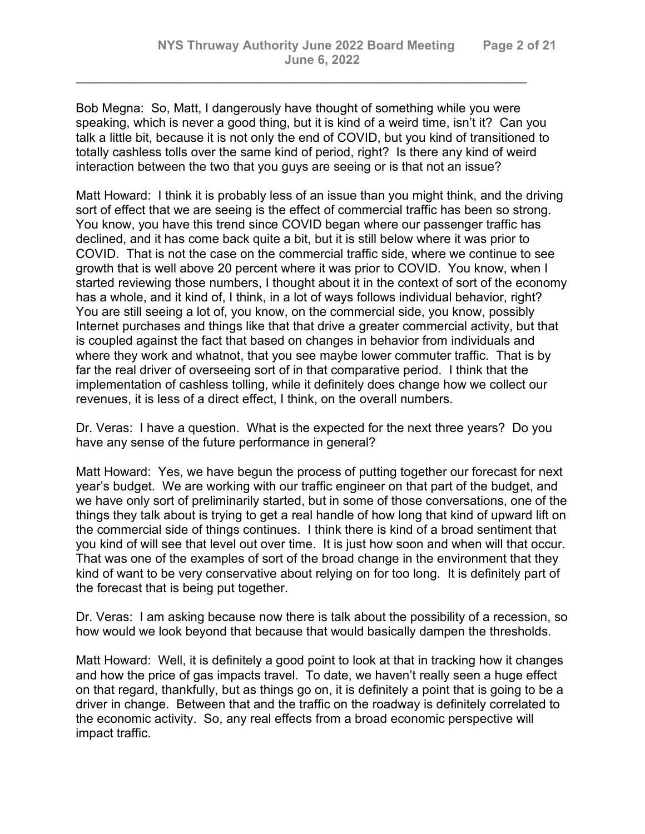Bob Megna: So, Matt, I dangerously have thought of something while you were speaking, which is never a good thing, but it is kind of a weird time, isn't it? Can you talk a little bit, because it is not only the end of COVID, but you kind of transitioned to totally cashless tolls over the same kind of period, right? Is there any kind of weird interaction between the two that you guys are seeing or is that not an issue?

*\_\_\_\_\_\_\_\_\_\_\_\_\_\_\_\_\_\_\_\_\_\_\_\_\_\_\_\_\_\_\_\_\_\_\_\_\_\_\_\_\_\_\_\_\_\_\_\_\_\_\_\_\_\_\_*

Matt Howard: I think it is probably less of an issue than you might think, and the driving sort of effect that we are seeing is the effect of commercial traffic has been so strong. You know, you have this trend since COVID began where our passenger traffic has declined, and it has come back quite a bit, but it is still below where it was prior to COVID. That is not the case on the commercial traffic side, where we continue to see growth that is well above 20 percent where it was prior to COVID. You know, when I started reviewing those numbers, I thought about it in the context of sort of the economy has a whole, and it kind of, I think, in a lot of ways follows individual behavior, right? You are still seeing a lot of, you know, on the commercial side, you know, possibly Internet purchases and things like that that drive a greater commercial activity, but that is coupled against the fact that based on changes in behavior from individuals and where they work and whatnot, that you see maybe lower commuter traffic. That is by far the real driver of overseeing sort of in that comparative period. I think that the implementation of cashless tolling, while it definitely does change how we collect our revenues, it is less of a direct effect, I think, on the overall numbers.

Dr. Veras: I have a question. What is the expected for the next three years? Do you have any sense of the future performance in general?

Matt Howard: Yes, we have begun the process of putting together our forecast for next year's budget. We are working with our traffic engineer on that part of the budget, and we have only sort of preliminarily started, but in some of those conversations, one of the things they talk about is trying to get a real handle of how long that kind of upward lift on the commercial side of things continues. I think there is kind of a broad sentiment that you kind of will see that level out over time. It is just how soon and when will that occur. That was one of the examples of sort of the broad change in the environment that they kind of want to be very conservative about relying on for too long. It is definitely part of the forecast that is being put together.

Dr. Veras: I am asking because now there is talk about the possibility of a recession, so how would we look beyond that because that would basically dampen the thresholds.

Matt Howard: Well, it is definitely a good point to look at that in tracking how it changes and how the price of gas impacts travel. To date, we haven't really seen a huge effect on that regard, thankfully, but as things go on, it is definitely a point that is going to be a driver in change. Between that and the traffic on the roadway is definitely correlated to the economic activity. So, any real effects from a broad economic perspective will impact traffic.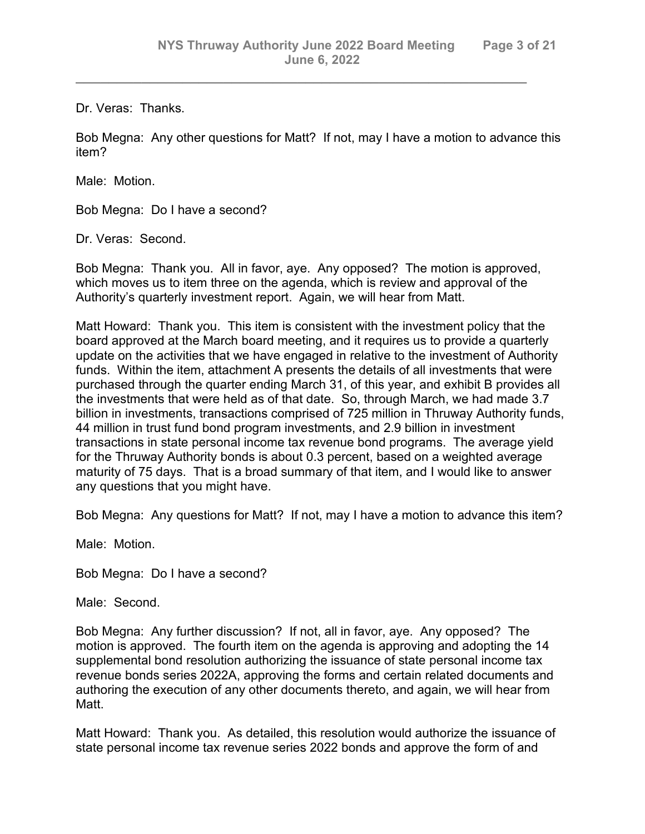Dr. Veras: Thanks.

Bob Megna: Any other questions for Matt? If not, may I have a motion to advance this item?

*\_\_\_\_\_\_\_\_\_\_\_\_\_\_\_\_\_\_\_\_\_\_\_\_\_\_\_\_\_\_\_\_\_\_\_\_\_\_\_\_\_\_\_\_\_\_\_\_\_\_\_\_\_\_\_*

Male: Motion.

Bob Megna: Do I have a second?

Dr. Veras: Second.

Bob Megna: Thank you. All in favor, aye. Any opposed? The motion is approved, which moves us to item three on the agenda, which is review and approval of the Authority's quarterly investment report. Again, we will hear from Matt.

Matt Howard: Thank you. This item is consistent with the investment policy that the board approved at the March board meeting, and it requires us to provide a quarterly update on the activities that we have engaged in relative to the investment of Authority funds. Within the item, attachment A presents the details of all investments that were purchased through the quarter ending March 31, of this year, and exhibit B provides all the investments that were held as of that date. So, through March, we had made 3.7 billion in investments, transactions comprised of 725 million in Thruway Authority funds, 44 million in trust fund bond program investments, and 2.9 billion in investment transactions in state personal income tax revenue bond programs. The average yield for the Thruway Authority bonds is about 0.3 percent, based on a weighted average maturity of 75 days. That is a broad summary of that item, and I would like to answer any questions that you might have.

Bob Megna: Any questions for Matt? If not, may I have a motion to advance this item?

Male: Motion.

Bob Megna: Do I have a second?

Male: Second.

Bob Megna: Any further discussion? If not, all in favor, aye. Any opposed? The motion is approved. The fourth item on the agenda is approving and adopting the 14 supplemental bond resolution authorizing the issuance of state personal income tax revenue bonds series 2022A, approving the forms and certain related documents and authoring the execution of any other documents thereto, and again, we will hear from Matt.

Matt Howard: Thank you. As detailed, this resolution would authorize the issuance of state personal income tax revenue series 2022 bonds and approve the form of and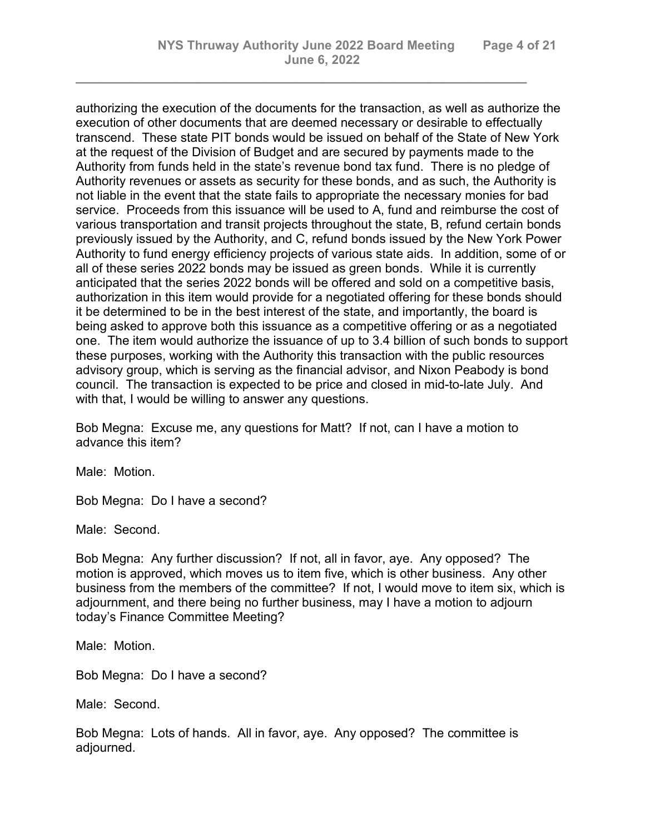authorizing the execution of the documents for the transaction, as well as authorize the execution of other documents that are deemed necessary or desirable to effectually transcend. These state PIT bonds would be issued on behalf of the State of New York at the request of the Division of Budget and are secured by payments made to the Authority from funds held in the state's revenue bond tax fund. There is no pledge of Authority revenues or assets as security for these bonds, and as such, the Authority is not liable in the event that the state fails to appropriate the necessary monies for bad service. Proceeds from this issuance will be used to A, fund and reimburse the cost of various transportation and transit projects throughout the state, B, refund certain bonds previously issued by the Authority, and C, refund bonds issued by the New York Power Authority to fund energy efficiency projects of various state aids. In addition, some of or all of these series 2022 bonds may be issued as green bonds. While it is currently anticipated that the series 2022 bonds will be offered and sold on a competitive basis, authorization in this item would provide for a negotiated offering for these bonds should it be determined to be in the best interest of the state, and importantly, the board is being asked to approve both this issuance as a competitive offering or as a negotiated one. The item would authorize the issuance of up to 3.4 billion of such bonds to support these purposes, working with the Authority this transaction with the public resources advisory group, which is serving as the financial advisor, and Nixon Peabody is bond council. The transaction is expected to be price and closed in mid-to-late July. And with that, I would be willing to answer any questions.

*\_\_\_\_\_\_\_\_\_\_\_\_\_\_\_\_\_\_\_\_\_\_\_\_\_\_\_\_\_\_\_\_\_\_\_\_\_\_\_\_\_\_\_\_\_\_\_\_\_\_\_\_\_\_\_*

Bob Megna: Excuse me, any questions for Matt? If not, can I have a motion to advance this item?

Male: Motion.

Bob Megna: Do I have a second?

Male: Second.

Bob Megna: Any further discussion? If not, all in favor, aye. Any opposed? The motion is approved, which moves us to item five, which is other business. Any other business from the members of the committee? If not, I would move to item six, which is adjournment, and there being no further business, may I have a motion to adjourn today's Finance Committee Meeting?

Male: Motion.

Bob Megna: Do I have a second?

Male: Second.

Bob Megna: Lots of hands. All in favor, aye. Any opposed? The committee is adjourned.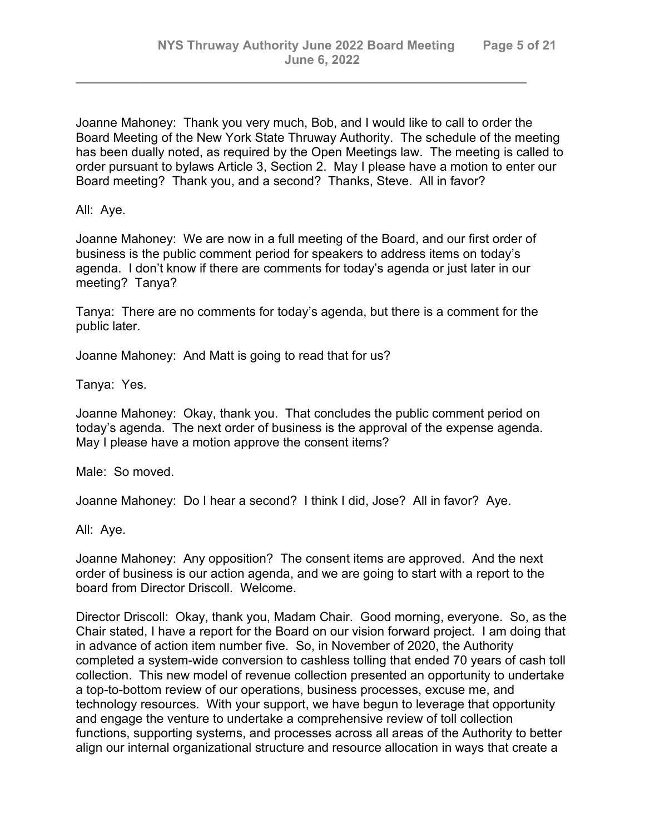Joanne Mahoney: Thank you very much, Bob, and I would like to call to order the Board Meeting of the New York State Thruway Authority. The schedule of the meeting has been dually noted, as required by the Open Meetings law. The meeting is called to order pursuant to bylaws Article 3, Section 2. May I please have a motion to enter our Board meeting? Thank you, and a second? Thanks, Steve. All in favor?

*\_\_\_\_\_\_\_\_\_\_\_\_\_\_\_\_\_\_\_\_\_\_\_\_\_\_\_\_\_\_\_\_\_\_\_\_\_\_\_\_\_\_\_\_\_\_\_\_\_\_\_\_\_\_\_*

All: Aye.

Joanne Mahoney: We are now in a full meeting of the Board, and our first order of business is the public comment period for speakers to address items on today's agenda. I don't know if there are comments for today's agenda or just later in our meeting? Tanya?

Tanya: There are no comments for today's agenda, but there is a comment for the public later.

Joanne Mahoney: And Matt is going to read that for us?

Tanya: Yes.

Joanne Mahoney: Okay, thank you. That concludes the public comment period on today's agenda. The next order of business is the approval of the expense agenda. May I please have a motion approve the consent items?

Male: So moved.

Joanne Mahoney: Do I hear a second? I think I did, Jose? All in favor? Aye.

All: Aye.

Joanne Mahoney: Any opposition? The consent items are approved. And the next order of business is our action agenda, and we are going to start with a report to the board from Director Driscoll. Welcome.

Director Driscoll: Okay, thank you, Madam Chair. Good morning, everyone. So, as the Chair stated, I have a report for the Board on our vision forward project. I am doing that in advance of action item number five. So, in November of 2020, the Authority completed a system-wide conversion to cashless tolling that ended 70 years of cash toll collection. This new model of revenue collection presented an opportunity to undertake a top-to-bottom review of our operations, business processes, excuse me, and technology resources. With your support, we have begun to leverage that opportunity and engage the venture to undertake a comprehensive review of toll collection functions, supporting systems, and processes across all areas of the Authority to better align our internal organizational structure and resource allocation in ways that create a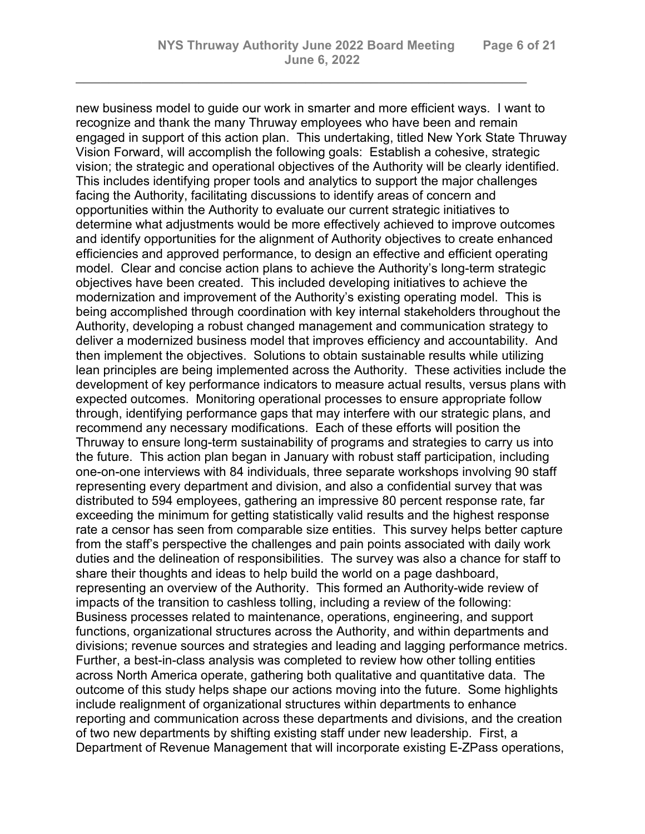*\_\_\_\_\_\_\_\_\_\_\_\_\_\_\_\_\_\_\_\_\_\_\_\_\_\_\_\_\_\_\_\_\_\_\_\_\_\_\_\_\_\_\_\_\_\_\_\_\_\_\_\_\_\_\_*

new business model to guide our work in smarter and more efficient ways. I want to recognize and thank the many Thruway employees who have been and remain engaged in support of this action plan. This undertaking, titled New York State Thruway Vision Forward, will accomplish the following goals: Establish a cohesive, strategic vision; the strategic and operational objectives of the Authority will be clearly identified. This includes identifying proper tools and analytics to support the major challenges facing the Authority, facilitating discussions to identify areas of concern and opportunities within the Authority to evaluate our current strategic initiatives to determine what adjustments would be more effectively achieved to improve outcomes and identify opportunities for the alignment of Authority objectives to create enhanced efficiencies and approved performance, to design an effective and efficient operating model. Clear and concise action plans to achieve the Authority's long-term strategic objectives have been created. This included developing initiatives to achieve the modernization and improvement of the Authority's existing operating model. This is being accomplished through coordination with key internal stakeholders throughout the Authority, developing a robust changed management and communication strategy to deliver a modernized business model that improves efficiency and accountability. And then implement the objectives. Solutions to obtain sustainable results while utilizing lean principles are being implemented across the Authority. These activities include the development of key performance indicators to measure actual results, versus plans with expected outcomes. Monitoring operational processes to ensure appropriate follow through, identifying performance gaps that may interfere with our strategic plans, and recommend any necessary modifications. Each of these efforts will position the Thruway to ensure long-term sustainability of programs and strategies to carry us into the future. This action plan began in January with robust staff participation, including one-on-one interviews with 84 individuals, three separate workshops involving 90 staff representing every department and division, and also a confidential survey that was distributed to 594 employees, gathering an impressive 80 percent response rate, far exceeding the minimum for getting statistically valid results and the highest response rate a censor has seen from comparable size entities. This survey helps better capture from the staff's perspective the challenges and pain points associated with daily work duties and the delineation of responsibilities. The survey was also a chance for staff to share their thoughts and ideas to help build the world on a page dashboard, representing an overview of the Authority. This formed an Authority-wide review of impacts of the transition to cashless tolling, including a review of the following: Business processes related to maintenance, operations, engineering, and support functions, organizational structures across the Authority, and within departments and divisions; revenue sources and strategies and leading and lagging performance metrics. Further, a best-in-class analysis was completed to review how other tolling entities across North America operate, gathering both qualitative and quantitative data. The outcome of this study helps shape our actions moving into the future. Some highlights include realignment of organizational structures within departments to enhance reporting and communication across these departments and divisions, and the creation of two new departments by shifting existing staff under new leadership. First, a Department of Revenue Management that will incorporate existing E-ZPass operations,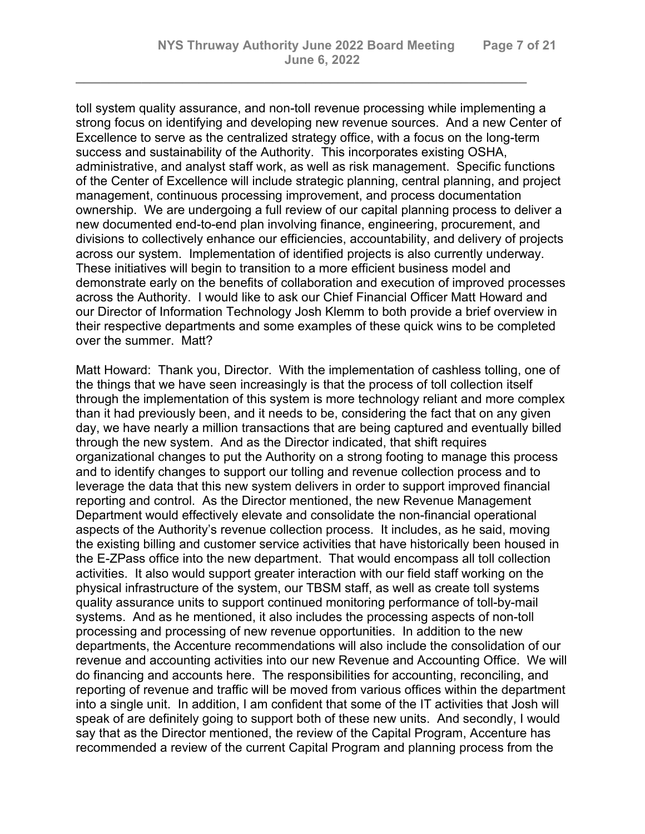toll system quality assurance, and non-toll revenue processing while implementing a strong focus on identifying and developing new revenue sources. And a new Center of Excellence to serve as the centralized strategy office, with a focus on the long-term success and sustainability of the Authority. This incorporates existing OSHA, administrative, and analyst staff work, as well as risk management. Specific functions of the Center of Excellence will include strategic planning, central planning, and project management, continuous processing improvement, and process documentation ownership. We are undergoing a full review of our capital planning process to deliver a new documented end-to-end plan involving finance, engineering, procurement, and divisions to collectively enhance our efficiencies, accountability, and delivery of projects across our system. Implementation of identified projects is also currently underway. These initiatives will begin to transition to a more efficient business model and demonstrate early on the benefits of collaboration and execution of improved processes across the Authority. I would like to ask our Chief Financial Officer Matt Howard and our Director of Information Technology Josh Klemm to both provide a brief overview in their respective departments and some examples of these quick wins to be completed over the summer. Matt?

*\_\_\_\_\_\_\_\_\_\_\_\_\_\_\_\_\_\_\_\_\_\_\_\_\_\_\_\_\_\_\_\_\_\_\_\_\_\_\_\_\_\_\_\_\_\_\_\_\_\_\_\_\_\_\_*

Matt Howard: Thank you, Director. With the implementation of cashless tolling, one of the things that we have seen increasingly is that the process of toll collection itself through the implementation of this system is more technology reliant and more complex than it had previously been, and it needs to be, considering the fact that on any given day, we have nearly a million transactions that are being captured and eventually billed through the new system. And as the Director indicated, that shift requires organizational changes to put the Authority on a strong footing to manage this process and to identify changes to support our tolling and revenue collection process and to leverage the data that this new system delivers in order to support improved financial reporting and control. As the Director mentioned, the new Revenue Management Department would effectively elevate and consolidate the non-financial operational aspects of the Authority's revenue collection process. It includes, as he said, moving the existing billing and customer service activities that have historically been housed in the E-ZPass office into the new department. That would encompass all toll collection activities. It also would support greater interaction with our field staff working on the physical infrastructure of the system, our TBSM staff, as well as create toll systems quality assurance units to support continued monitoring performance of toll-by-mail systems. And as he mentioned, it also includes the processing aspects of non-toll processing and processing of new revenue opportunities. In addition to the new departments, the Accenture recommendations will also include the consolidation of our revenue and accounting activities into our new Revenue and Accounting Office. We will do financing and accounts here. The responsibilities for accounting, reconciling, and reporting of revenue and traffic will be moved from various offices within the department into a single unit. In addition, I am confident that some of the IT activities that Josh will speak of are definitely going to support both of these new units. And secondly, I would say that as the Director mentioned, the review of the Capital Program, Accenture has recommended a review of the current Capital Program and planning process from the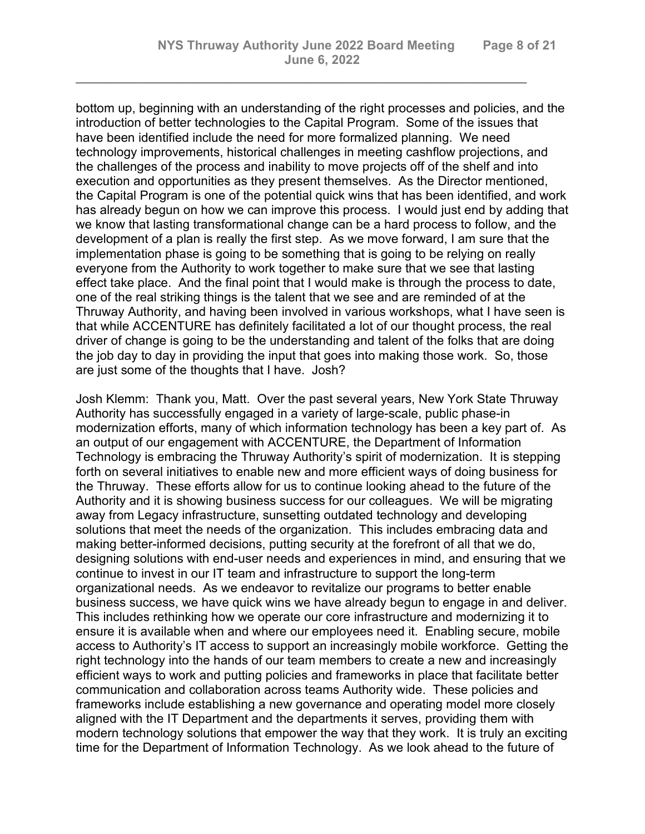bottom up, beginning with an understanding of the right processes and policies, and the introduction of better technologies to the Capital Program. Some of the issues that have been identified include the need for more formalized planning. We need technology improvements, historical challenges in meeting cashflow projections, and the challenges of the process and inability to move projects off of the shelf and into execution and opportunities as they present themselves. As the Director mentioned, the Capital Program is one of the potential quick wins that has been identified, and work has already begun on how we can improve this process. I would just end by adding that we know that lasting transformational change can be a hard process to follow, and the development of a plan is really the first step. As we move forward, I am sure that the implementation phase is going to be something that is going to be relying on really everyone from the Authority to work together to make sure that we see that lasting effect take place. And the final point that I would make is through the process to date, one of the real striking things is the talent that we see and are reminded of at the Thruway Authority, and having been involved in various workshops, what I have seen is that while ACCENTURE has definitely facilitated a lot of our thought process, the real driver of change is going to be the understanding and talent of the folks that are doing the job day to day in providing the input that goes into making those work. So, those are just some of the thoughts that I have. Josh?

*\_\_\_\_\_\_\_\_\_\_\_\_\_\_\_\_\_\_\_\_\_\_\_\_\_\_\_\_\_\_\_\_\_\_\_\_\_\_\_\_\_\_\_\_\_\_\_\_\_\_\_\_\_\_\_*

Josh Klemm: Thank you, Matt. Over the past several years, New York State Thruway Authority has successfully engaged in a variety of large-scale, public phase-in modernization efforts, many of which information technology has been a key part of. As an output of our engagement with ACCENTURE, the Department of Information Technology is embracing the Thruway Authority's spirit of modernization. It is stepping forth on several initiatives to enable new and more efficient ways of doing business for the Thruway. These efforts allow for us to continue looking ahead to the future of the Authority and it is showing business success for our colleagues. We will be migrating away from Legacy infrastructure, sunsetting outdated technology and developing solutions that meet the needs of the organization. This includes embracing data and making better-informed decisions, putting security at the forefront of all that we do, designing solutions with end-user needs and experiences in mind, and ensuring that we continue to invest in our IT team and infrastructure to support the long-term organizational needs. As we endeavor to revitalize our programs to better enable business success, we have quick wins we have already begun to engage in and deliver. This includes rethinking how we operate our core infrastructure and modernizing it to ensure it is available when and where our employees need it. Enabling secure, mobile access to Authority's IT access to support an increasingly mobile workforce. Getting the right technology into the hands of our team members to create a new and increasingly efficient ways to work and putting policies and frameworks in place that facilitate better communication and collaboration across teams Authority wide. These policies and frameworks include establishing a new governance and operating model more closely aligned with the IT Department and the departments it serves, providing them with modern technology solutions that empower the way that they work. It is truly an exciting time for the Department of Information Technology. As we look ahead to the future of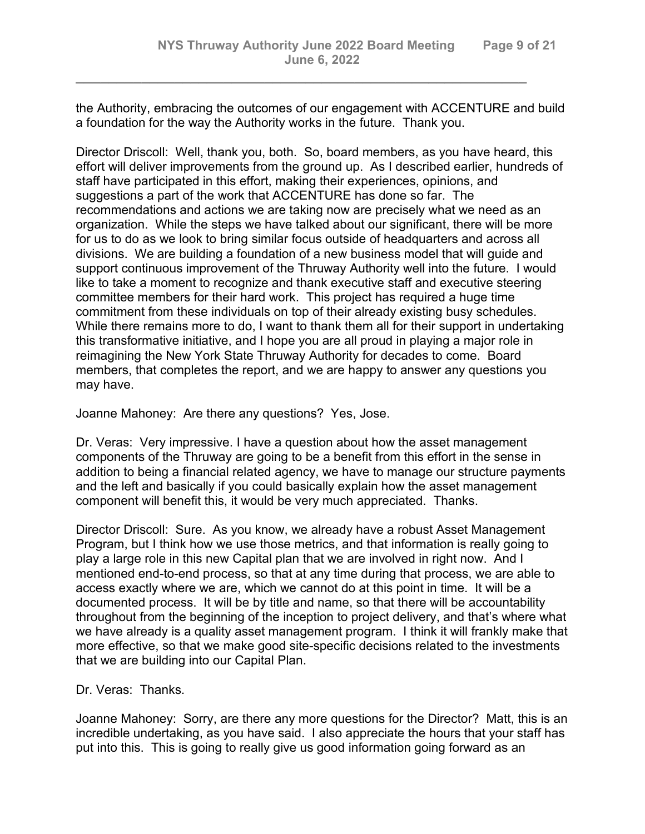the Authority, embracing the outcomes of our engagement with ACCENTURE and build a foundation for the way the Authority works in the future. Thank you.

*\_\_\_\_\_\_\_\_\_\_\_\_\_\_\_\_\_\_\_\_\_\_\_\_\_\_\_\_\_\_\_\_\_\_\_\_\_\_\_\_\_\_\_\_\_\_\_\_\_\_\_\_\_\_\_*

Director Driscoll: Well, thank you, both. So, board members, as you have heard, this effort will deliver improvements from the ground up. As I described earlier, hundreds of staff have participated in this effort, making their experiences, opinions, and suggestions a part of the work that ACCENTURE has done so far. The recommendations and actions we are taking now are precisely what we need as an organization. While the steps we have talked about our significant, there will be more for us to do as we look to bring similar focus outside of headquarters and across all divisions. We are building a foundation of a new business model that will guide and support continuous improvement of the Thruway Authority well into the future. I would like to take a moment to recognize and thank executive staff and executive steering committee members for their hard work. This project has required a huge time commitment from these individuals on top of their already existing busy schedules. While there remains more to do, I want to thank them all for their support in undertaking this transformative initiative, and I hope you are all proud in playing a major role in reimagining the New York State Thruway Authority for decades to come. Board members, that completes the report, and we are happy to answer any questions you may have.

Joanne Mahoney: Are there any questions? Yes, Jose.

Dr. Veras: Very impressive. I have a question about how the asset management components of the Thruway are going to be a benefit from this effort in the sense in addition to being a financial related agency, we have to manage our structure payments and the left and basically if you could basically explain how the asset management component will benefit this, it would be very much appreciated. Thanks.

Director Driscoll: Sure. As you know, we already have a robust Asset Management Program, but I think how we use those metrics, and that information is really going to play a large role in this new Capital plan that we are involved in right now. And I mentioned end-to-end process, so that at any time during that process, we are able to access exactly where we are, which we cannot do at this point in time. It will be a documented process. It will be by title and name, so that there will be accountability throughout from the beginning of the inception to project delivery, and that's where what we have already is a quality asset management program. I think it will frankly make that more effective, so that we make good site-specific decisions related to the investments that we are building into our Capital Plan.

Dr. Veras: Thanks.

Joanne Mahoney: Sorry, are there any more questions for the Director? Matt, this is an incredible undertaking, as you have said. I also appreciate the hours that your staff has put into this. This is going to really give us good information going forward as an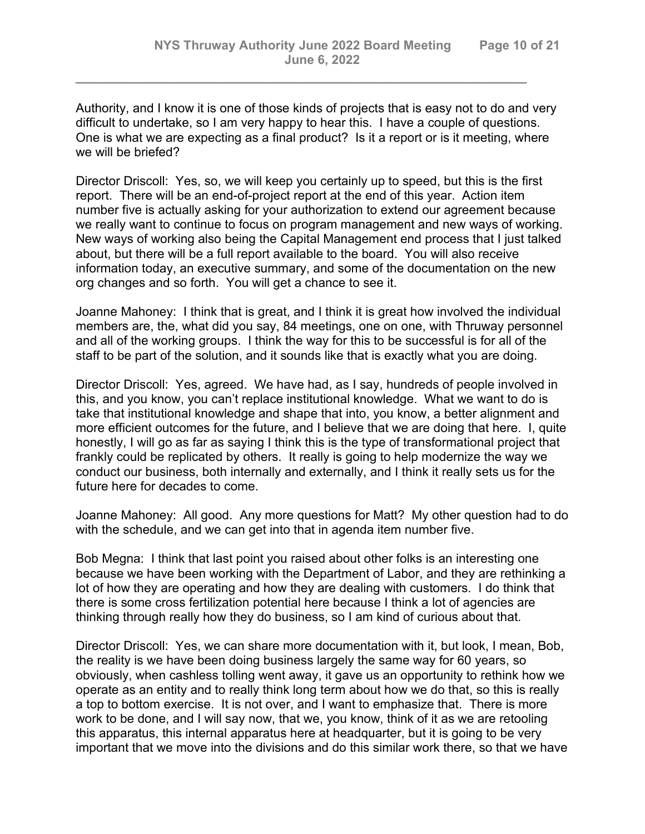Authority, and I know it is one of those kinds of projects that is easy not to do and very difficult to undertake, so I am very happy to hear this. I have a couple of questions. One is what we are expecting as a final product? Is it a report or is it meeting, where we will be briefed?

*\_\_\_\_\_\_\_\_\_\_\_\_\_\_\_\_\_\_\_\_\_\_\_\_\_\_\_\_\_\_\_\_\_\_\_\_\_\_\_\_\_\_\_\_\_\_\_\_\_\_\_\_\_\_\_*

Director Driscoll: Yes, so, we will keep you certainly up to speed, but this is the first report. There will be an end-of-project report at the end of this year. Action item number five is actually asking for your authorization to extend our agreement because we really want to continue to focus on program management and new ways of working. New ways of working also being the Capital Management end process that I just talked about, but there will be a full report available to the board. You will also receive information today, an executive summary, and some of the documentation on the new org changes and so forth. You will get a chance to see it.

Joanne Mahoney: I think that is great, and I think it is great how involved the individual members are, the, what did you say, 84 meetings, one on one, with Thruway personnel and all of the working groups. I think the way for this to be successful is for all of the staff to be part of the solution, and it sounds like that is exactly what you are doing.

Director Driscoll: Yes, agreed. We have had, as I say, hundreds of people involved in this, and you know, you can't replace institutional knowledge. What we want to do is take that institutional knowledge and shape that into, you know, a better alignment and more efficient outcomes for the future, and I believe that we are doing that here. I, quite honestly, I will go as far as saying I think this is the type of transformational project that frankly could be replicated by others. It really is going to help modernize the way we conduct our business, both internally and externally, and I think it really sets us for the future here for decades to come.

Joanne Mahoney: All good. Any more questions for Matt? My other question had to do with the schedule, and we can get into that in agenda item number five.

Bob Megna: I think that last point you raised about other folks is an interesting one because we have been working with the Department of Labor, and they are rethinking a lot of how they are operating and how they are dealing with customers. I do think that there is some cross fertilization potential here because I think a lot of agencies are thinking through really how they do business, so I am kind of curious about that.

Director Driscoll: Yes, we can share more documentation with it, but look, I mean, Bob, the reality is we have been doing business largely the same way for 60 years, so obviously, when cashless tolling went away, it gave us an opportunity to rethink how we operate as an entity and to really think long term about how we do that, so this is really a top to bottom exercise. It is not over, and I want to emphasize that. There is more work to be done, and I will say now, that we, you know, think of it as we are retooling this apparatus, this internal apparatus here at headquarter, but it is going to be very important that we move into the divisions and do this similar work there, so that we have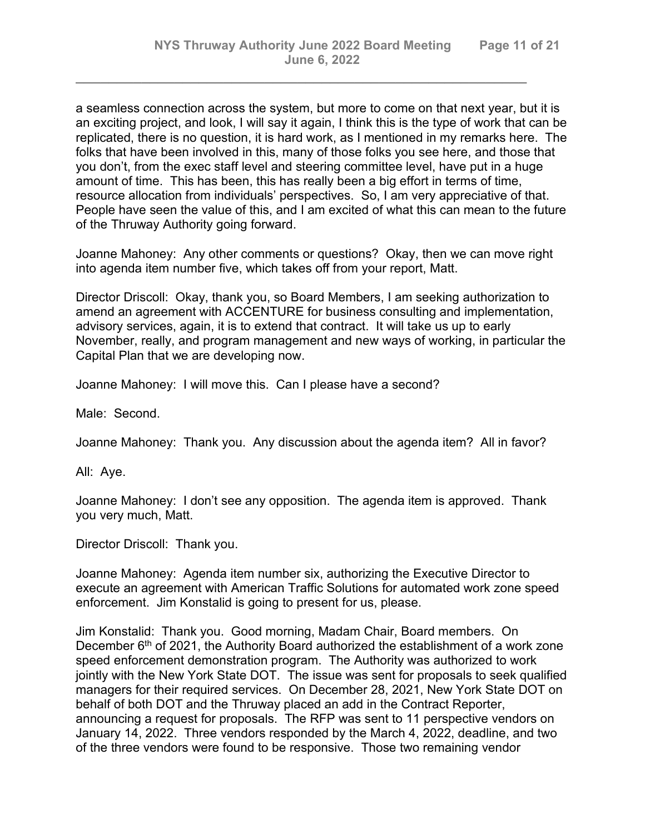a seamless connection across the system, but more to come on that next year, but it is an exciting project, and look, I will say it again, I think this is the type of work that can be replicated, there is no question, it is hard work, as I mentioned in my remarks here. The folks that have been involved in this, many of those folks you see here, and those that you don't, from the exec staff level and steering committee level, have put in a huge amount of time. This has been, this has really been a big effort in terms of time, resource allocation from individuals' perspectives. So, I am very appreciative of that. People have seen the value of this, and I am excited of what this can mean to the future of the Thruway Authority going forward.

*\_\_\_\_\_\_\_\_\_\_\_\_\_\_\_\_\_\_\_\_\_\_\_\_\_\_\_\_\_\_\_\_\_\_\_\_\_\_\_\_\_\_\_\_\_\_\_\_\_\_\_\_\_\_\_*

Joanne Mahoney: Any other comments or questions? Okay, then we can move right into agenda item number five, which takes off from your report, Matt.

Director Driscoll: Okay, thank you, so Board Members, I am seeking authorization to amend an agreement with ACCENTURE for business consulting and implementation, advisory services, again, it is to extend that contract. It will take us up to early November, really, and program management and new ways of working, in particular the Capital Plan that we are developing now.

Joanne Mahoney: I will move this. Can I please have a second?

Male: Second.

Joanne Mahoney: Thank you. Any discussion about the agenda item? All in favor?

All: Aye.

Joanne Mahoney: I don't see any opposition. The agenda item is approved. Thank you very much, Matt.

Director Driscoll: Thank you.

Joanne Mahoney: Agenda item number six, authorizing the Executive Director to execute an agreement with American Traffic Solutions for automated work zone speed enforcement. Jim Konstalid is going to present for us, please.

Jim Konstalid: Thank you. Good morning, Madam Chair, Board members. On December  $6<sup>th</sup>$  of 2021, the Authority Board authorized the establishment of a work zone speed enforcement demonstration program. The Authority was authorized to work jointly with the New York State DOT. The issue was sent for proposals to seek qualified managers for their required services. On December 28, 2021, New York State DOT on behalf of both DOT and the Thruway placed an add in the Contract Reporter, announcing a request for proposals. The RFP was sent to 11 perspective vendors on January 14, 2022. Three vendors responded by the March 4, 2022, deadline, and two of the three vendors were found to be responsive. Those two remaining vendor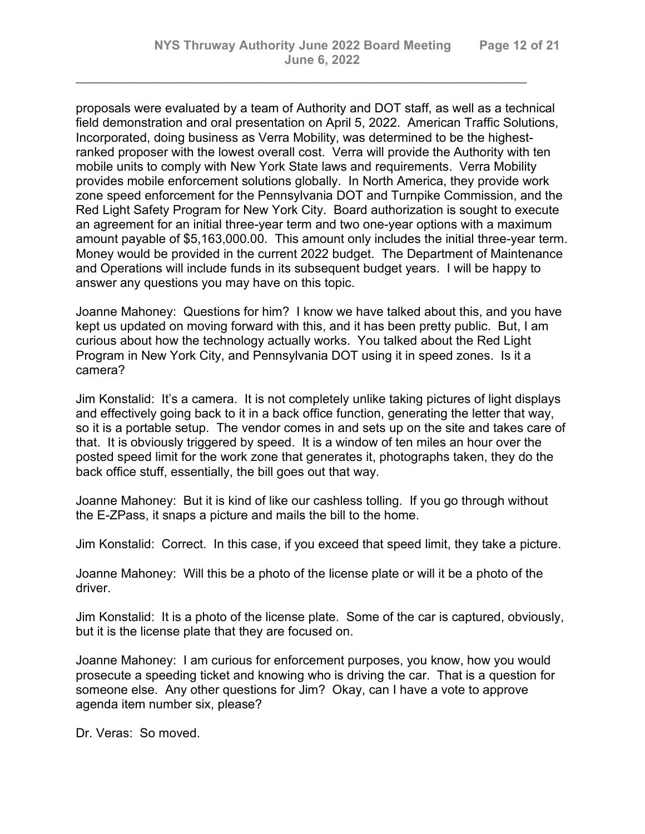proposals were evaluated by a team of Authority and DOT staff, as well as a technical field demonstration and oral presentation on April 5, 2022. American Traffic Solutions, Incorporated, doing business as Verra Mobility, was determined to be the highestranked proposer with the lowest overall cost. Verra will provide the Authority with ten mobile units to comply with New York State laws and requirements. Verra Mobility provides mobile enforcement solutions globally. In North America, they provide work zone speed enforcement for the Pennsylvania DOT and Turnpike Commission, and the Red Light Safety Program for New York City. Board authorization is sought to execute an agreement for an initial three-year term and two one-year options with a maximum amount payable of \$5,163,000.00. This amount only includes the initial three-year term. Money would be provided in the current 2022 budget. The Department of Maintenance and Operations will include funds in its subsequent budget years. I will be happy to answer any questions you may have on this topic.

*\_\_\_\_\_\_\_\_\_\_\_\_\_\_\_\_\_\_\_\_\_\_\_\_\_\_\_\_\_\_\_\_\_\_\_\_\_\_\_\_\_\_\_\_\_\_\_\_\_\_\_\_\_\_\_*

Joanne Mahoney: Questions for him? I know we have talked about this, and you have kept us updated on moving forward with this, and it has been pretty public. But, I am curious about how the technology actually works. You talked about the Red Light Program in New York City, and Pennsylvania DOT using it in speed zones. Is it a camera?

Jim Konstalid: It's a camera. It is not completely unlike taking pictures of light displays and effectively going back to it in a back office function, generating the letter that way, so it is a portable setup. The vendor comes in and sets up on the site and takes care of that. It is obviously triggered by speed. It is a window of ten miles an hour over the posted speed limit for the work zone that generates it, photographs taken, they do the back office stuff, essentially, the bill goes out that way.

Joanne Mahoney: But it is kind of like our cashless tolling. If you go through without the E-ZPass, it snaps a picture and mails the bill to the home.

Jim Konstalid: Correct. In this case, if you exceed that speed limit, they take a picture.

Joanne Mahoney: Will this be a photo of the license plate or will it be a photo of the driver.

Jim Konstalid: It is a photo of the license plate. Some of the car is captured, obviously, but it is the license plate that they are focused on.

Joanne Mahoney: I am curious for enforcement purposes, you know, how you would prosecute a speeding ticket and knowing who is driving the car. That is a question for someone else. Any other questions for Jim? Okay, can I have a vote to approve agenda item number six, please?

Dr. Veras: So moved.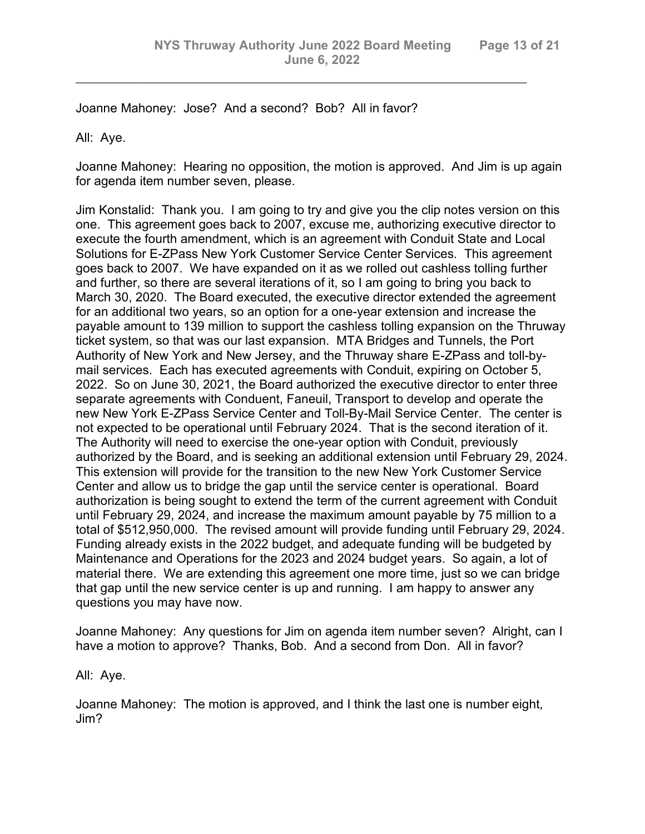*\_\_\_\_\_\_\_\_\_\_\_\_\_\_\_\_\_\_\_\_\_\_\_\_\_\_\_\_\_\_\_\_\_\_\_\_\_\_\_\_\_\_\_\_\_\_\_\_\_\_\_\_\_\_\_*

Joanne Mahoney: Jose? And a second? Bob? All in favor?

All: Aye.

Joanne Mahoney: Hearing no opposition, the motion is approved. And Jim is up again for agenda item number seven, please.

Jim Konstalid: Thank you. I am going to try and give you the clip notes version on this one. This agreement goes back to 2007, excuse me, authorizing executive director to execute the fourth amendment, which is an agreement with Conduit State and Local Solutions for E-ZPass New York Customer Service Center Services. This agreement goes back to 2007. We have expanded on it as we rolled out cashless tolling further and further, so there are several iterations of it, so I am going to bring you back to March 30, 2020. The Board executed, the executive director extended the agreement for an additional two years, so an option for a one-year extension and increase the payable amount to 139 million to support the cashless tolling expansion on the Thruway ticket system, so that was our last expansion. MTA Bridges and Tunnels, the Port Authority of New York and New Jersey, and the Thruway share E-ZPass and toll-bymail services. Each has executed agreements with Conduit, expiring on October 5, 2022. So on June 30, 2021, the Board authorized the executive director to enter three separate agreements with Conduent, Faneuil, Transport to develop and operate the new New York E-ZPass Service Center and Toll-By-Mail Service Center. The center is not expected to be operational until February 2024. That is the second iteration of it. The Authority will need to exercise the one-year option with Conduit, previously authorized by the Board, and is seeking an additional extension until February 29, 2024. This extension will provide for the transition to the new New York Customer Service Center and allow us to bridge the gap until the service center is operational. Board authorization is being sought to extend the term of the current agreement with Conduit until February 29, 2024, and increase the maximum amount payable by 75 million to a total of \$512,950,000. The revised amount will provide funding until February 29, 2024. Funding already exists in the 2022 budget, and adequate funding will be budgeted by Maintenance and Operations for the 2023 and 2024 budget years. So again, a lot of material there. We are extending this agreement one more time, just so we can bridge that gap until the new service center is up and running. I am happy to answer any questions you may have now.

Joanne Mahoney: Any questions for Jim on agenda item number seven? Alright, can I have a motion to approve? Thanks, Bob. And a second from Don. All in favor?

All: Aye.

Joanne Mahoney: The motion is approved, and I think the last one is number eight, Jim?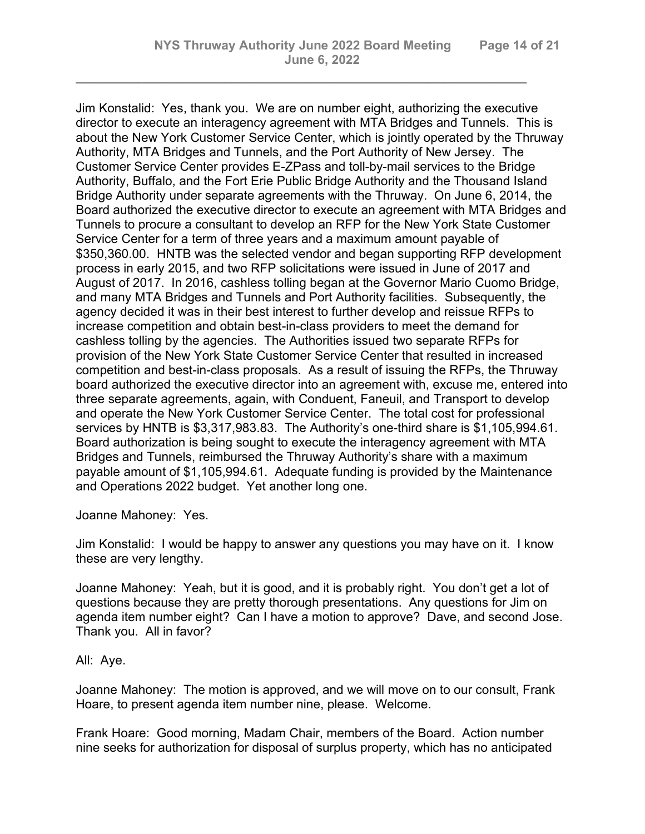*\_\_\_\_\_\_\_\_\_\_\_\_\_\_\_\_\_\_\_\_\_\_\_\_\_\_\_\_\_\_\_\_\_\_\_\_\_\_\_\_\_\_\_\_\_\_\_\_\_\_\_\_\_\_\_*

Jim Konstalid: Yes, thank you. We are on number eight, authorizing the executive director to execute an interagency agreement with MTA Bridges and Tunnels. This is about the New York Customer Service Center, which is jointly operated by the Thruway Authority, MTA Bridges and Tunnels, and the Port Authority of New Jersey. The Customer Service Center provides E-ZPass and toll-by-mail services to the Bridge Authority, Buffalo, and the Fort Erie Public Bridge Authority and the Thousand Island Bridge Authority under separate agreements with the Thruway. On June 6, 2014, the Board authorized the executive director to execute an agreement with MTA Bridges and Tunnels to procure a consultant to develop an RFP for the New York State Customer Service Center for a term of three years and a maximum amount payable of \$350,360.00. HNTB was the selected vendor and began supporting RFP development process in early 2015, and two RFP solicitations were issued in June of 2017 and August of 2017. In 2016, cashless tolling began at the Governor Mario Cuomo Bridge, and many MTA Bridges and Tunnels and Port Authority facilities. Subsequently, the agency decided it was in their best interest to further develop and reissue RFPs to increase competition and obtain best-in-class providers to meet the demand for cashless tolling by the agencies. The Authorities issued two separate RFPs for provision of the New York State Customer Service Center that resulted in increased competition and best-in-class proposals. As a result of issuing the RFPs, the Thruway board authorized the executive director into an agreement with, excuse me, entered into three separate agreements, again, with Conduent, Faneuil, and Transport to develop and operate the New York Customer Service Center. The total cost for professional services by HNTB is \$3,317,983.83. The Authority's one-third share is \$1,105,994.61. Board authorization is being sought to execute the interagency agreement with MTA Bridges and Tunnels, reimbursed the Thruway Authority's share with a maximum payable amount of \$1,105,994.61. Adequate funding is provided by the Maintenance and Operations 2022 budget. Yet another long one.

Joanne Mahoney: Yes.

Jim Konstalid: I would be happy to answer any questions you may have on it. I know these are very lengthy.

Joanne Mahoney: Yeah, but it is good, and it is probably right. You don't get a lot of questions because they are pretty thorough presentations. Any questions for Jim on agenda item number eight? Can I have a motion to approve? Dave, and second Jose. Thank you. All in favor?

## All: Aye.

Joanne Mahoney: The motion is approved, and we will move on to our consult, Frank Hoare, to present agenda item number nine, please. Welcome.

Frank Hoare: Good morning, Madam Chair, members of the Board. Action number nine seeks for authorization for disposal of surplus property, which has no anticipated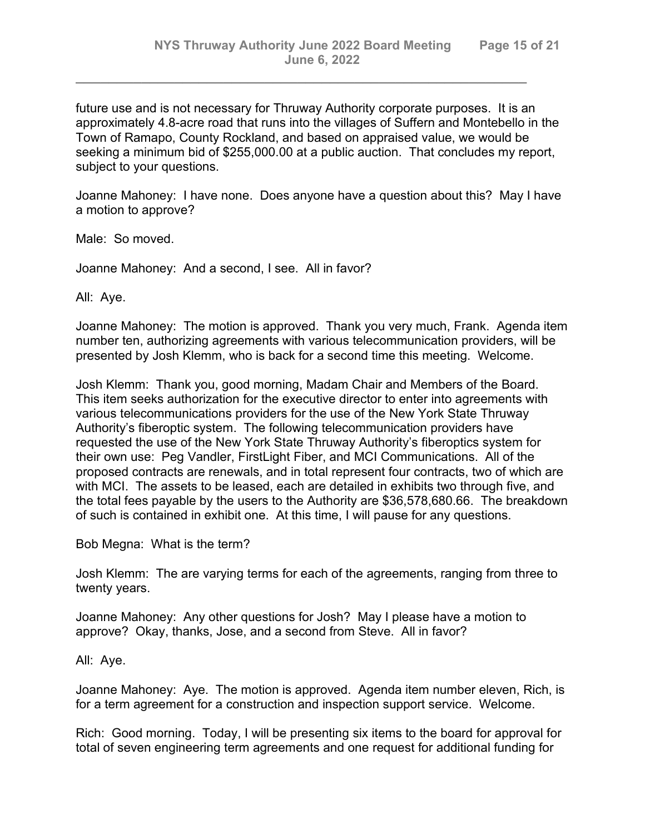future use and is not necessary for Thruway Authority corporate purposes. It is an approximately 4.8-acre road that runs into the villages of Suffern and Montebello in the Town of Ramapo, County Rockland, and based on appraised value, we would be seeking a minimum bid of \$255,000.00 at a public auction. That concludes my report, subject to your questions.

*\_\_\_\_\_\_\_\_\_\_\_\_\_\_\_\_\_\_\_\_\_\_\_\_\_\_\_\_\_\_\_\_\_\_\_\_\_\_\_\_\_\_\_\_\_\_\_\_\_\_\_\_\_\_\_*

Joanne Mahoney: I have none. Does anyone have a question about this? May I have a motion to approve?

Male: So moved.

Joanne Mahoney: And a second, I see. All in favor?

All: Aye.

Joanne Mahoney: The motion is approved. Thank you very much, Frank. Agenda item number ten, authorizing agreements with various telecommunication providers, will be presented by Josh Klemm, who is back for a second time this meeting. Welcome.

Josh Klemm: Thank you, good morning, Madam Chair and Members of the Board. This item seeks authorization for the executive director to enter into agreements with various telecommunications providers for the use of the New York State Thruway Authority's fiberoptic system. The following telecommunication providers have requested the use of the New York State Thruway Authority's fiberoptics system for their own use: Peg Vandler, FirstLight Fiber, and MCI Communications. All of the proposed contracts are renewals, and in total represent four contracts, two of which are with MCI. The assets to be leased, each are detailed in exhibits two through five, and the total fees payable by the users to the Authority are \$36,578,680.66. The breakdown of such is contained in exhibit one. At this time, I will pause for any questions.

Bob Megna: What is the term?

Josh Klemm: The are varying terms for each of the agreements, ranging from three to twenty years.

Joanne Mahoney: Any other questions for Josh? May I please have a motion to approve? Okay, thanks, Jose, and a second from Steve. All in favor?

All: Aye.

Joanne Mahoney: Aye. The motion is approved. Agenda item number eleven, Rich, is for a term agreement for a construction and inspection support service. Welcome.

Rich: Good morning. Today, I will be presenting six items to the board for approval for total of seven engineering term agreements and one request for additional funding for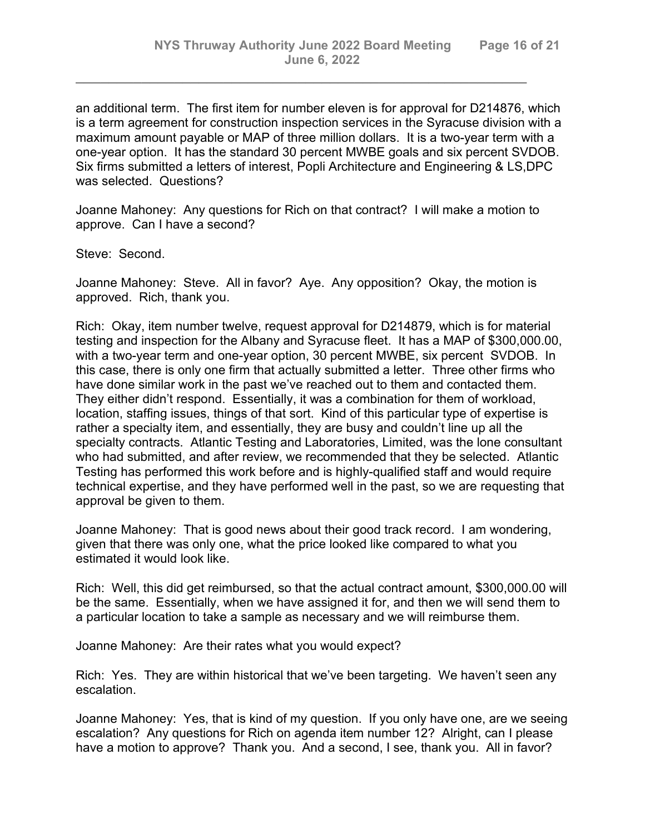an additional term. The first item for number eleven is for approval for D214876, which is a term agreement for construction inspection services in the Syracuse division with a maximum amount payable or MAP of three million dollars. It is a two-year term with a one-year option. It has the standard 30 percent MWBE goals and six percent SVDOB. Six firms submitted a letters of interest, Popli Architecture and Engineering & LS,DPC was selected. Questions?

*\_\_\_\_\_\_\_\_\_\_\_\_\_\_\_\_\_\_\_\_\_\_\_\_\_\_\_\_\_\_\_\_\_\_\_\_\_\_\_\_\_\_\_\_\_\_\_\_\_\_\_\_\_\_\_*

Joanne Mahoney: Any questions for Rich on that contract? I will make a motion to approve. Can I have a second?

Steve: Second.

Joanne Mahoney: Steve. All in favor? Aye. Any opposition? Okay, the motion is approved. Rich, thank you.

Rich: Okay, item number twelve, request approval for D214879, which is for material testing and inspection for the Albany and Syracuse fleet. It has a MAP of \$300,000.00, with a two-year term and one-year option, 30 percent MWBE, six percent SVDOB. In this case, there is only one firm that actually submitted a letter. Three other firms who have done similar work in the past we've reached out to them and contacted them. They either didn't respond. Essentially, it was a combination for them of workload, location, staffing issues, things of that sort. Kind of this particular type of expertise is rather a specialty item, and essentially, they are busy and couldn't line up all the specialty contracts. Atlantic Testing and Laboratories, Limited, was the lone consultant who had submitted, and after review, we recommended that they be selected. Atlantic Testing has performed this work before and is highly-qualified staff and would require technical expertise, and they have performed well in the past, so we are requesting that approval be given to them.

Joanne Mahoney: That is good news about their good track record. I am wondering, given that there was only one, what the price looked like compared to what you estimated it would look like.

Rich: Well, this did get reimbursed, so that the actual contract amount, \$300,000.00 will be the same. Essentially, when we have assigned it for, and then we will send them to a particular location to take a sample as necessary and we will reimburse them.

Joanne Mahoney: Are their rates what you would expect?

Rich: Yes. They are within historical that we've been targeting. We haven't seen any escalation.

Joanne Mahoney: Yes, that is kind of my question. If you only have one, are we seeing escalation? Any questions for Rich on agenda item number 12? Alright, can I please have a motion to approve? Thank you. And a second, I see, thank you. All in favor?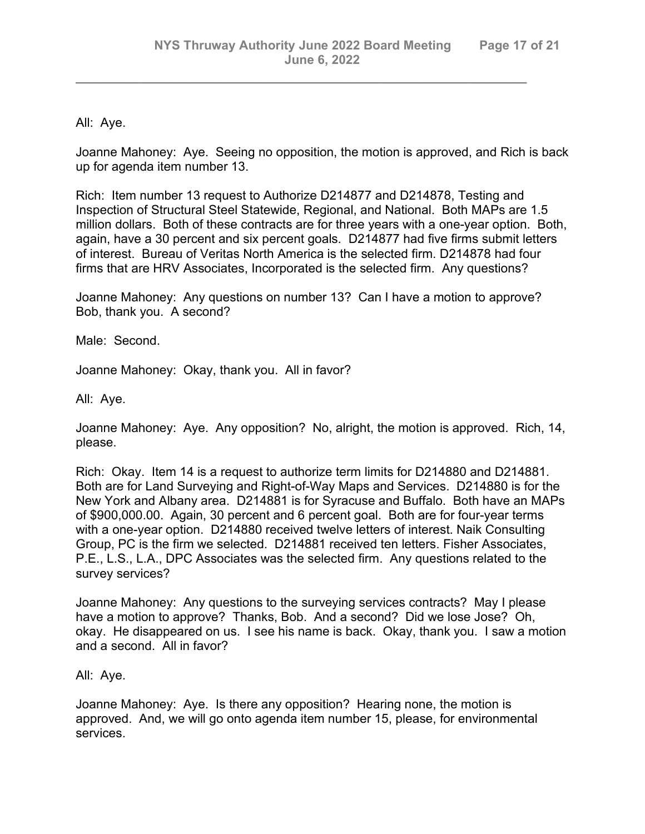All: Aye.

Joanne Mahoney: Aye. Seeing no opposition, the motion is approved, and Rich is back up for agenda item number 13.

*\_\_\_\_\_\_\_\_\_\_\_\_\_\_\_\_\_\_\_\_\_\_\_\_\_\_\_\_\_\_\_\_\_\_\_\_\_\_\_\_\_\_\_\_\_\_\_\_\_\_\_\_\_\_\_*

Rich: Item number 13 request to Authorize D214877 and D214878, Testing and Inspection of Structural Steel Statewide, Regional, and National. Both MAPs are 1.5 million dollars. Both of these contracts are for three years with a one-year option. Both, again, have a 30 percent and six percent goals. D214877 had five firms submit letters of interest. Bureau of Veritas North America is the selected firm. D214878 had four firms that are HRV Associates, Incorporated is the selected firm. Any questions?

Joanne Mahoney: Any questions on number 13? Can I have a motion to approve? Bob, thank you. A second?

Male: Second.

Joanne Mahoney: Okay, thank you. All in favor?

All: Aye.

Joanne Mahoney: Aye. Any opposition? No, alright, the motion is approved. Rich, 14, please.

Rich: Okay. Item 14 is a request to authorize term limits for D214880 and D214881. Both are for Land Surveying and Right-of-Way Maps and Services. D214880 is for the New York and Albany area. D214881 is for Syracuse and Buffalo. Both have an MAPs of \$900,000.00. Again, 30 percent and 6 percent goal. Both are for four-year terms with a one-year option. D214880 received twelve letters of interest. Naik Consulting Group, PC is the firm we selected. D214881 received ten letters. Fisher Associates, P.E., L.S., L.A., DPC Associates was the selected firm. Any questions related to the survey services?

Joanne Mahoney: Any questions to the surveying services contracts? May I please have a motion to approve? Thanks, Bob. And a second? Did we lose Jose? Oh, okay. He disappeared on us. I see his name is back. Okay, thank you. I saw a motion and a second. All in favor?

All: Aye.

Joanne Mahoney: Aye. Is there any opposition? Hearing none, the motion is approved. And, we will go onto agenda item number 15, please, for environmental services.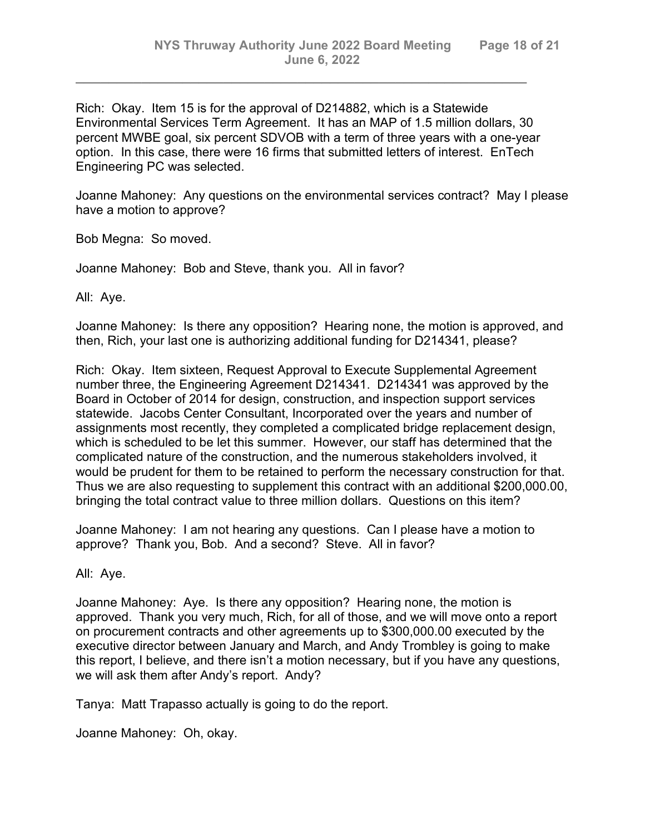Rich: Okay. Item 15 is for the approval of D214882, which is a Statewide Environmental Services Term Agreement. It has an MAP of 1.5 million dollars, 30 percent MWBE goal, six percent SDVOB with a term of three years with a one-year option. In this case, there were 16 firms that submitted letters of interest. EnTech Engineering PC was selected.

*\_\_\_\_\_\_\_\_\_\_\_\_\_\_\_\_\_\_\_\_\_\_\_\_\_\_\_\_\_\_\_\_\_\_\_\_\_\_\_\_\_\_\_\_\_\_\_\_\_\_\_\_\_\_\_*

Joanne Mahoney: Any questions on the environmental services contract? May I please have a motion to approve?

Bob Megna: So moved.

Joanne Mahoney: Bob and Steve, thank you. All in favor?

All: Aye.

Joanne Mahoney: Is there any opposition? Hearing none, the motion is approved, and then, Rich, your last one is authorizing additional funding for D214341, please?

Rich: Okay. Item sixteen, Request Approval to Execute Supplemental Agreement number three, the Engineering Agreement D214341. D214341 was approved by the Board in October of 2014 for design, construction, and inspection support services statewide. Jacobs Center Consultant, Incorporated over the years and number of assignments most recently, they completed a complicated bridge replacement design, which is scheduled to be let this summer. However, our staff has determined that the complicated nature of the construction, and the numerous stakeholders involved, it would be prudent for them to be retained to perform the necessary construction for that. Thus we are also requesting to supplement this contract with an additional \$200,000.00, bringing the total contract value to three million dollars. Questions on this item?

Joanne Mahoney: I am not hearing any questions. Can I please have a motion to approve? Thank you, Bob. And a second? Steve. All in favor?

All: Aye.

Joanne Mahoney: Aye. Is there any opposition? Hearing none, the motion is approved. Thank you very much, Rich, for all of those, and we will move onto a report on procurement contracts and other agreements up to \$300,000.00 executed by the executive director between January and March, and Andy Trombley is going to make this report, I believe, and there isn't a motion necessary, but if you have any questions, we will ask them after Andy's report. Andy?

Tanya: Matt Trapasso actually is going to do the report.

Joanne Mahoney: Oh, okay.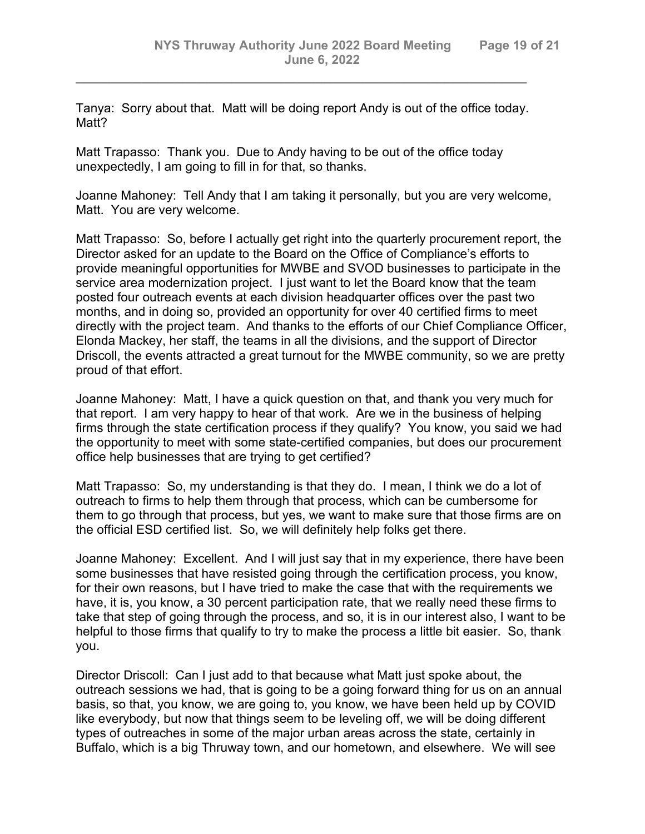Tanya: Sorry about that. Matt will be doing report Andy is out of the office today. Matt?

*\_\_\_\_\_\_\_\_\_\_\_\_\_\_\_\_\_\_\_\_\_\_\_\_\_\_\_\_\_\_\_\_\_\_\_\_\_\_\_\_\_\_\_\_\_\_\_\_\_\_\_\_\_\_\_*

Matt Trapasso: Thank you. Due to Andy having to be out of the office today unexpectedly, I am going to fill in for that, so thanks.

Joanne Mahoney: Tell Andy that I am taking it personally, but you are very welcome, Matt. You are very welcome.

Matt Trapasso: So, before I actually get right into the quarterly procurement report, the Director asked for an update to the Board on the Office of Compliance's efforts to provide meaningful opportunities for MWBE and SVOD businesses to participate in the service area modernization project. I just want to let the Board know that the team posted four outreach events at each division headquarter offices over the past two months, and in doing so, provided an opportunity for over 40 certified firms to meet directly with the project team. And thanks to the efforts of our Chief Compliance Officer, Elonda Mackey, her staff, the teams in all the divisions, and the support of Director Driscoll, the events attracted a great turnout for the MWBE community, so we are pretty proud of that effort.

Joanne Mahoney: Matt, I have a quick question on that, and thank you very much for that report. I am very happy to hear of that work. Are we in the business of helping firms through the state certification process if they qualify? You know, you said we had the opportunity to meet with some state-certified companies, but does our procurement office help businesses that are trying to get certified?

Matt Trapasso: So, my understanding is that they do. I mean, I think we do a lot of outreach to firms to help them through that process, which can be cumbersome for them to go through that process, but yes, we want to make sure that those firms are on the official ESD certified list. So, we will definitely help folks get there.

Joanne Mahoney: Excellent. And I will just say that in my experience, there have been some businesses that have resisted going through the certification process, you know, for their own reasons, but I have tried to make the case that with the requirements we have, it is, you know, a 30 percent participation rate, that we really need these firms to take that step of going through the process, and so, it is in our interest also, I want to be helpful to those firms that qualify to try to make the process a little bit easier. So, thank you.

Director Driscoll: Can I just add to that because what Matt just spoke about, the outreach sessions we had, that is going to be a going forward thing for us on an annual basis, so that, you know, we are going to, you know, we have been held up by COVID like everybody, but now that things seem to be leveling off, we will be doing different types of outreaches in some of the major urban areas across the state, certainly in Buffalo, which is a big Thruway town, and our hometown, and elsewhere. We will see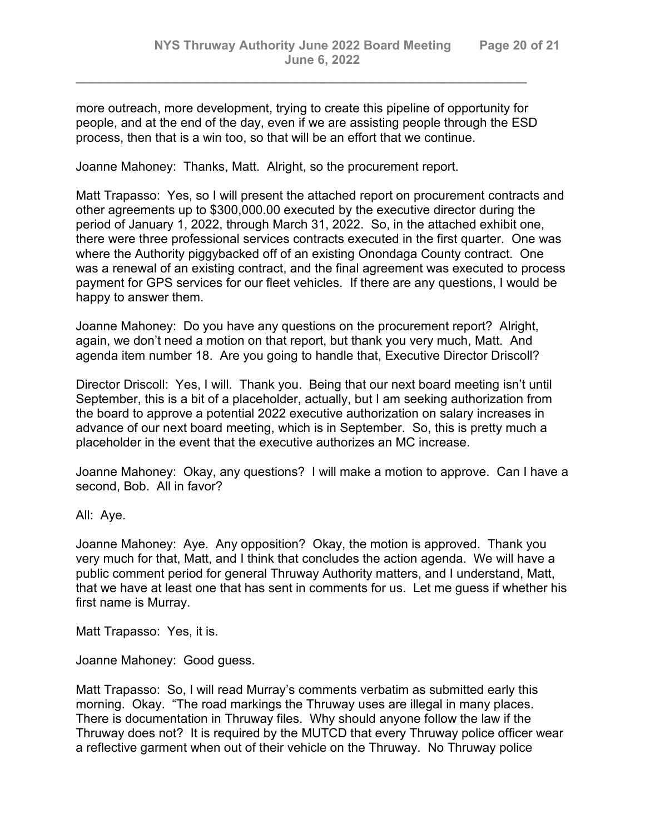more outreach, more development, trying to create this pipeline of opportunity for people, and at the end of the day, even if we are assisting people through the ESD process, then that is a win too, so that will be an effort that we continue.

*\_\_\_\_\_\_\_\_\_\_\_\_\_\_\_\_\_\_\_\_\_\_\_\_\_\_\_\_\_\_\_\_\_\_\_\_\_\_\_\_\_\_\_\_\_\_\_\_\_\_\_\_\_\_\_*

Joanne Mahoney: Thanks, Matt. Alright, so the procurement report.

Matt Trapasso: Yes, so I will present the attached report on procurement contracts and other agreements up to \$300,000.00 executed by the executive director during the period of January 1, 2022, through March 31, 2022. So, in the attached exhibit one, there were three professional services contracts executed in the first quarter. One was where the Authority piggybacked off of an existing Onondaga County contract. One was a renewal of an existing contract, and the final agreement was executed to process payment for GPS services for our fleet vehicles. If there are any questions, I would be happy to answer them.

Joanne Mahoney: Do you have any questions on the procurement report? Alright, again, we don't need a motion on that report, but thank you very much, Matt. And agenda item number 18. Are you going to handle that, Executive Director Driscoll?

Director Driscoll: Yes, I will. Thank you. Being that our next board meeting isn't until September, this is a bit of a placeholder, actually, but I am seeking authorization from the board to approve a potential 2022 executive authorization on salary increases in advance of our next board meeting, which is in September. So, this is pretty much a placeholder in the event that the executive authorizes an MC increase.

Joanne Mahoney: Okay, any questions? I will make a motion to approve. Can I have a second, Bob. All in favor?

All: Aye.

Joanne Mahoney: Aye. Any opposition? Okay, the motion is approved. Thank you very much for that, Matt, and I think that concludes the action agenda. We will have a public comment period for general Thruway Authority matters, and I understand, Matt, that we have at least one that has sent in comments for us. Let me guess if whether his first name is Murray.

Matt Trapasso: Yes, it is.

Joanne Mahoney: Good guess.

Matt Trapasso: So, I will read Murray's comments verbatim as submitted early this morning. Okay. "The road markings the Thruway uses are illegal in many places. There is documentation in Thruway files. Why should anyone follow the law if the Thruway does not? It is required by the MUTCD that every Thruway police officer wear a reflective garment when out of their vehicle on the Thruway. No Thruway police